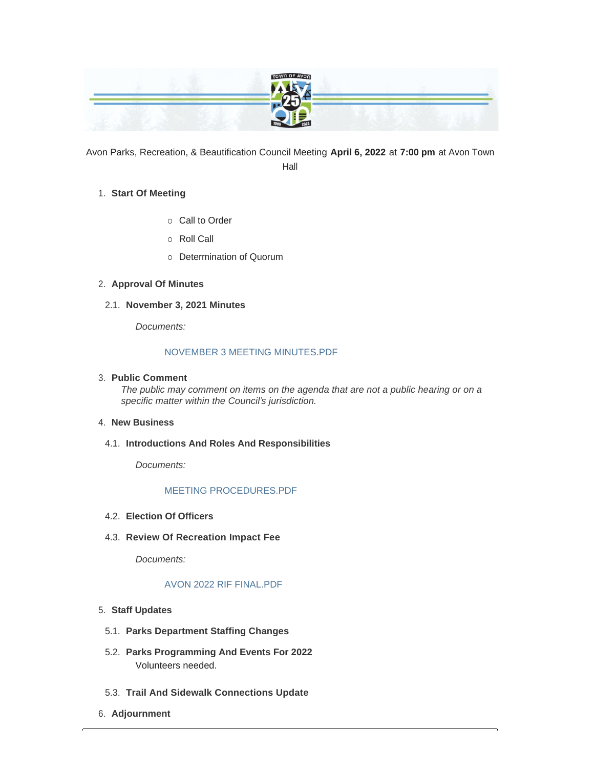|                                                                    | TOWN OF AV |                   |
|--------------------------------------------------------------------|------------|-------------------|
| <b>TANK OF THE</b><br>والمناجز                                     |            |                   |
| <b>The Common Common</b><br>the second contract of the second con- |            | <b>CONTRACTOR</b> |
|                                                                    |            |                   |

Avon Parks, Recreation, & Beautification Council Meeting **April 6, 2022** at **7:00 pm** at Avon Town Hall

## **Start Of Meeting** 1.

- o Call to Order
- o Roll Call
- o Determination of Quorum

# **Approval Of Minutes** 2.

**November 3, 2021 Minutes** 2.1.

*Documents:*

## [NOVEMBER 3 MEETING MINUTES.PDF](https://www.avongov.org/AgendaCenter/ViewFile/Item/276?fileID=203)

# **Public Comment** 3.

*The public may comment on items on the agenda that are not a public hearing or on a specific matter within the Council's jurisdiction.*

#### **New Business** 4.

**Introductions And Roles And Responsibilities** 4.1.

*Documents:*

## [MEETING PROCEDURES.PDF](https://www.avongov.org/AgendaCenter/ViewFile/Item/275?fileID=202)

- **Election Of Officers** 4.2.
- **Review Of Recreation Impact Fee** 4.3.

*Documents:*

## [AVON 2022 RIF FINAL.PDF](https://www.avongov.org/AgendaCenter/ViewFile/Item/270?fileID=204)

- **Staff Updates** 5.
- **Parks Department Staffing Changes** 5.1.
- **Parks Programming And Events For 2022** 5.2. Volunteers needed.
- **Trail And Sidewalk Connections Update** 5.3.
- **Adjournment** 6.